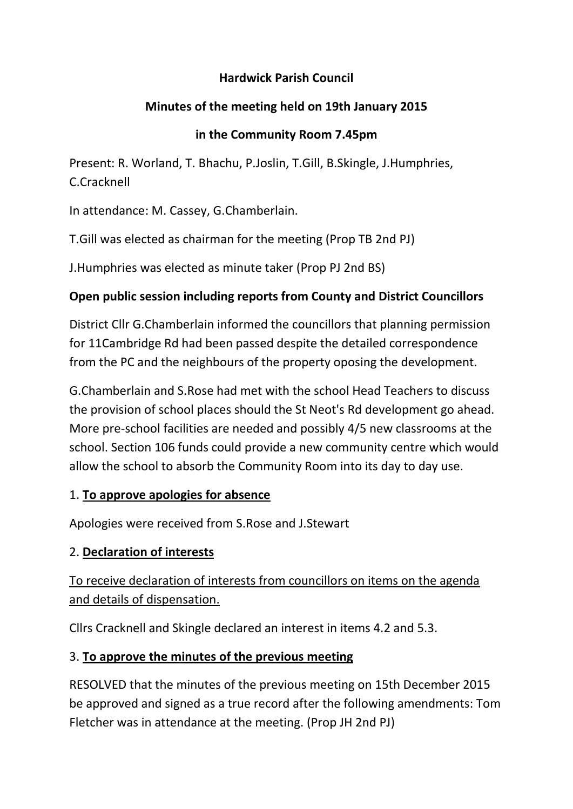### **Hardwick Parish Council**

# **Minutes of the meeting held on 19th January 2015**

### **in the Community Room 7.45pm**

Present: R. Worland, T. Bhachu, P.Joslin, T.Gill, B.Skingle, J.Humphries, C.Cracknell

In attendance: M. Cassey, G.Chamberlain.

T.Gill was elected as chairman for the meeting (Prop TB 2nd PJ)

J.Humphries was elected as minute taker (Prop PJ 2nd BS)

# **Open public session including reports from County and District Councillors**

District Cllr G.Chamberlain informed the councillors that planning permission for 11Cambridge Rd had been passed despite the detailed correspondence from the PC and the neighbours of the property oposing the development.

G.Chamberlain and S.Rose had met with the school Head Teachers to discuss the provision of school places should the St Neot's Rd development go ahead. More pre-school facilities are needed and possibly 4/5 new classrooms at the school. Section 106 funds could provide a new community centre which would allow the school to absorb the Community Room into its day to day use.

#### 1. **To approve apologies for absence**

Apologies were received from S.Rose and J.Stewart

# 2. **Declaration of interests**

To receive declaration of interests from councillors on items on the agenda and details of dispensation.

Cllrs Cracknell and Skingle declared an interest in items 4.2 and 5.3.

# 3. **To approve the minutes of the previous meeting**

RESOLVED that the minutes of the previous meeting on 15th December 2015 be approved and signed as a true record after the following amendments: Tom Fletcher was in attendance at the meeting. (Prop JH 2nd PJ)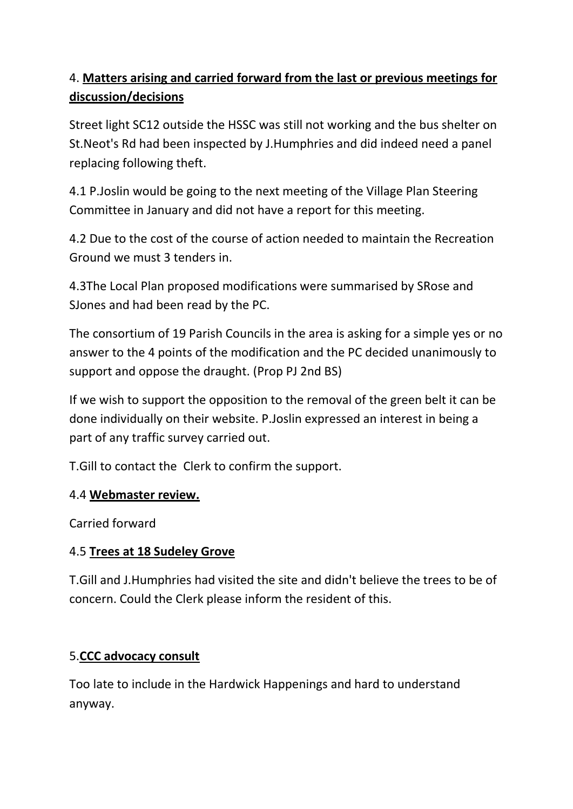# 4. **Matters arising and carried forward from the last or previous meetings for discussion/decisions**

Street light SC12 outside the HSSC was still not working and the bus shelter on St.Neot's Rd had been inspected by J.Humphries and did indeed need a panel replacing following theft.

4.1 P.Joslin would be going to the next meeting of the Village Plan Steering Committee in January and did not have a report for this meeting.

4.2 Due to the cost of the course of action needed to maintain the Recreation Ground we must 3 tenders in.

4.3The Local Plan proposed modifications were summarised by SRose and SJones and had been read by the PC.

The consortium of 19 Parish Councils in the area is asking for a simple yes or no answer to the 4 points of the modification and the PC decided unanimously to support and oppose the draught. (Prop PJ 2nd BS)

If we wish to support the opposition to the removal of the green belt it can be done individually on their website. P.Joslin expressed an interest in being a part of any traffic survey carried out.

T.Gill to contact the Clerk to confirm the support.

# 4.4 **Webmaster review.**

Carried forward

# 4.5 **Trees at 18 Sudeley Grove**

T.Gill and J.Humphries had visited the site and didn't believe the trees to be of concern. Could the Clerk please inform the resident of this.

# 5.**CCC advocacy consult**

Too late to include in the Hardwick Happenings and hard to understand anyway.